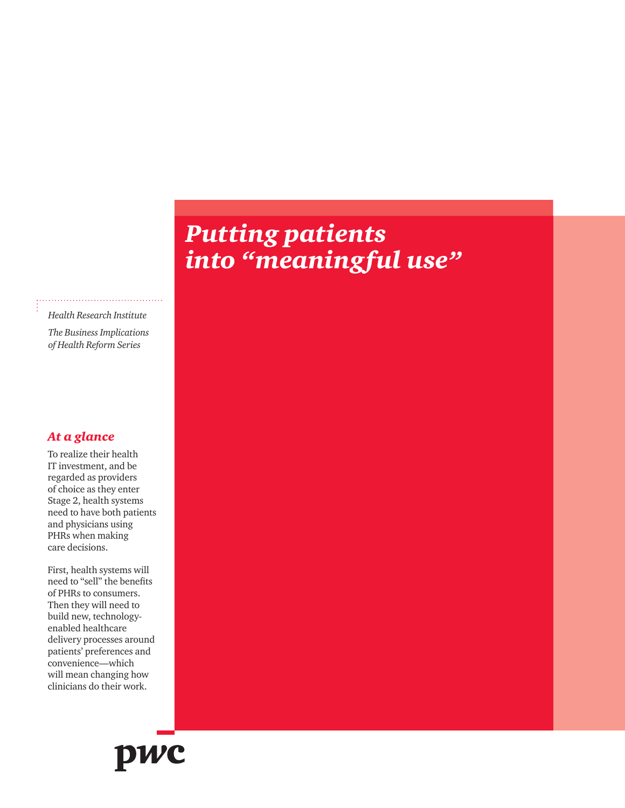# *Putting patients into "meaningful use"*

*Health Research Institute The Business Implications* 

*of Health Reform Series*

### *At a glance*

To realize their health IT investment, and be regarded as providers of choice as they enter Stage 2, health systems need to have both patients and physicians using PHRs when making care decisions.

First, health systems will need to "sell" the benefits of PHRs to consumers. Then they will need to build new, technologyenabled healthcare delivery processes around patients' preferences and convenience—which will mean changing how clinicians do their work.

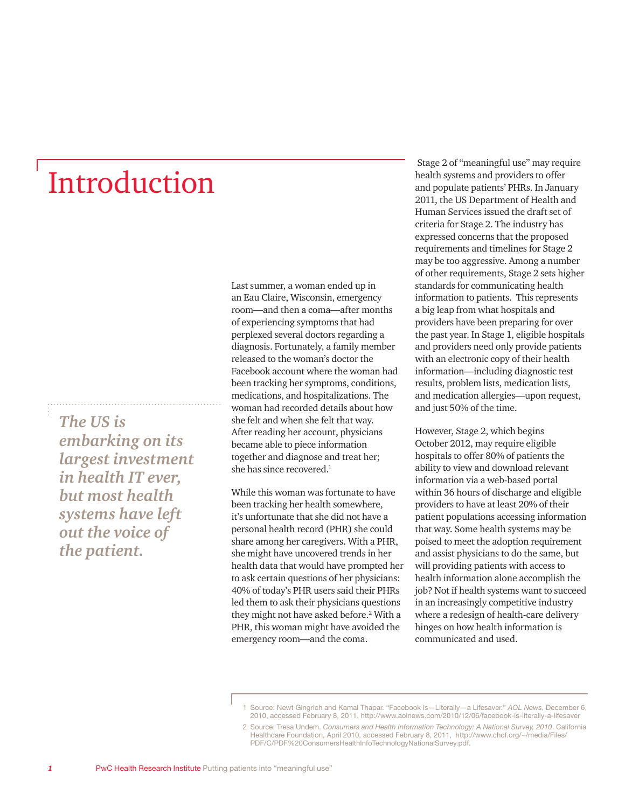# Introduction

*The US is embarking on its largest investment in health IT ever, but most health systems have left out the voice of the patient.*

Last summer, a woman ended up in an Eau Claire, Wisconsin, emergency room—and then a coma—after months of experiencing symptoms that had perplexed several doctors regarding a diagnosis. Fortunately, a family member released to the woman's doctor the Facebook account where the woman had been tracking her symptoms, conditions, medications, and hospitalizations. The woman had recorded details about how she felt and when she felt that way. After reading her account, physicians became able to piece information together and diagnose and treat her; she has since recovered.<sup>1</sup>

While this woman was fortunate to have been tracking her health somewhere, it's unfortunate that she did not have a personal health record (PHR) she could share among her caregivers. With a PHR, she might have uncovered trends in her health data that would have prompted her to ask certain questions of her physicians: 40% of today's PHR users said their PHRs led them to ask their physicians questions they might not have asked before.<sup>2</sup> With a PHR, this woman might have avoided the emergency room—and the coma.

 Stage 2 of "meaningful use" may require health systems and providers to offer and populate patients' PHRs. In January 2011, the US Department of Health and Human Services issued the draft set of criteria for Stage 2. The industry has expressed concerns that the proposed requirements and timelines for Stage 2 may be too aggressive. Among a number of other requirements, Stage 2 sets higher standards for communicating health information to patients. This represents a big leap from what hospitals and providers have been preparing for over the past year. In Stage 1, eligible hospitals and providers need only provide patients with an electronic copy of their health information—including diagnostic test results, problem lists, medication lists, and medication allergies—upon request, and just 50% of the time.

However, Stage 2, which begins October 2012, may require eligible hospitals to offer 80% of patients the ability to view and download relevant information via a web-based portal within 36 hours of discharge and eligible providers to have at least 20% of their patient populations accessing information that way. Some health systems may be poised to meet the adoption requirement and assist physicians to do the same, but will providing patients with access to health information alone accomplish the job? Not if health systems want to succeed in an increasingly competitive industry where a redesign of health-care delivery hinges on how health information is communicated and used.

<sup>1</sup> Source: Newt Gingrich and Kamal Thapar. "Facebook is—Literally—a Lifesaver." *AOL News*, December 6, 2010, accessed February 8, 2011, http://www.aolnews.com/2010/12/06/facebook-is-literally-a-lifesaver

<sup>2</sup> Source: Tresa Undem. *Consumers and Health Information Technology: A National Survey, 2010*. California Healthcare Foundation, April 2010, accessed February 8, 2011, http://www.chcf.org/~/media/Files/ PDF/C/PDF%20ConsumersHealthInfoTechnologyNationalSurvey.pdf.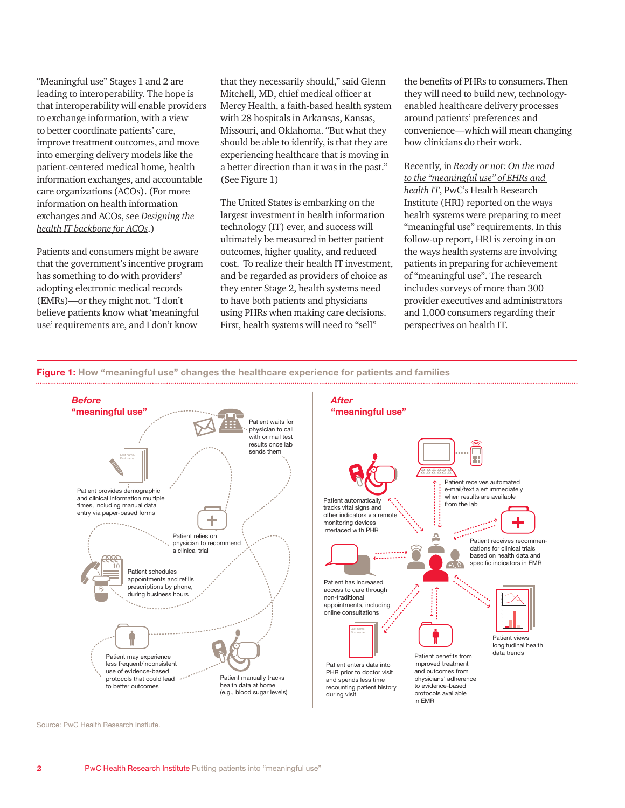"Meaningful use" Stages 1 and 2 are leading to interoperability. The hope is that interoperability will enable providers to exchange information, with a view to better coordinate patients' care, improve treatment outcomes, and move into emerging delivery models like the patient-centered medical home, health information exchanges, and accountable care organizations (ACOs). (For more information on health information exchanges and ACOs, see *[Designing the](http://www.pwc.com/us/acohit)  [health IT backbone for ACOs](http://www.pwc.com/us/acohit)*.)

Patients and consumers might be aware that the government's incentive program has something to do with providers' adopting electronic medical records (EMRs)—or they might not. "I don't believe patients know what 'meaningful use' requirements are, and I don't know

that they necessarily should," said Glenn Mitchell, MD, chief medical officer at Mercy Health, a faith-based health system with 28 hospitals in Arkansas, Kansas, Missouri, and Oklahoma. "But what they should be able to identify, is that they are experiencing healthcare that is moving in a better direction than it was in the past." (See Figure 1)

The United States is embarking on the largest investment in health information technology (IT) ever, and success will ultimately be measured in better patient outcomes, higher quality, and reduced cost. To realize their health IT investment, and be regarded as providers of choice as they enter Stage 2, health systems need to have both patients and physicians using PHRs when making care decisions. First, health systems will need to "sell"

the benefits of PHRs to consumers.Then they will need to build new, technologyenabled healthcare delivery processes around patients' preferences and convenience—which will mean changing how clinicians do their work.

Recently, in *[Ready or not: On the road](http://www.pwc.com/us/en/health-industries/publications/ready-or-not-on-the-road-to-meaningful-use-of-ehrs-and-health-it.jhtml)  [to the "meaningful use" of EHRs and](http://www.pwc.com/us/en/health-industries/publications/ready-or-not-on-the-road-to-meaningful-use-of-ehrs-and-health-it.jhtml)  [health IT](http://www.pwc.com/us/en/health-industries/publications/ready-or-not-on-the-road-to-meaningful-use-of-ehrs-and-health-it.jhtml)*, PwC's Health Research Institute (HRI) reported on the ways health systems were preparing to meet "meaningful use" requirements. In this follow-up report, HRI is zeroing in on the ways health systems are involving patients in preparing for achievement of "meaningful use". The research includes surveys of more than 300 provider executives and administrators and 1,000 consumers regarding their perspectives on health IT.





Source: PwC Health Research Instiute.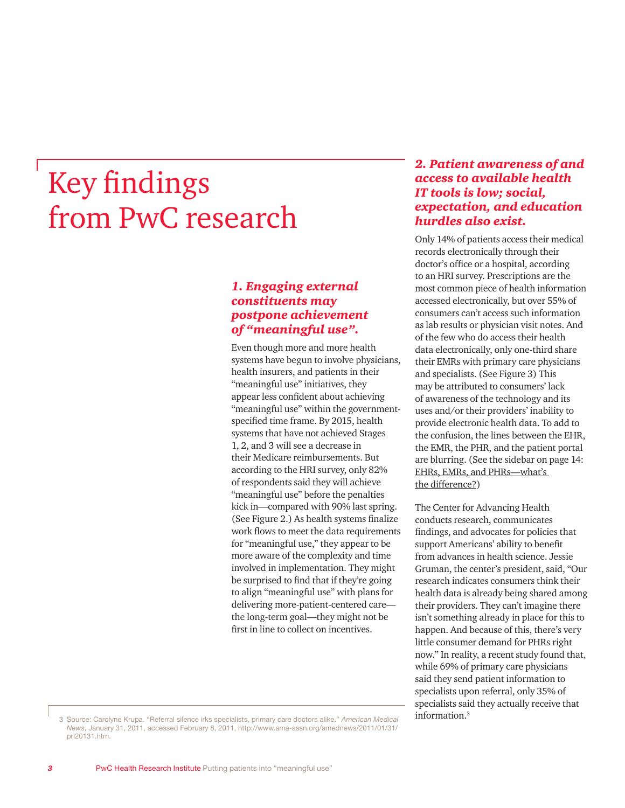# Key findings from PwC research

#### *1. Engaging external constituents may postpone achievement of "meaningful use".*

Even though more and more health systems have begun to involve physicians, health insurers, and patients in their "meaningful use" initiatives, they appear less confident about achieving "meaningful use" within the governmentspecified time frame. By 2015, health systems that have not achieved Stages 1, 2, and 3 will see a decrease in their Medicare reimbursements. But according to the HRI survey, only 82% of respondents said they will achieve "meaningful use" before the penalties kick in—compared with 90% last spring. (See Figure 2.) As health systems finalize work flows to meet the data requirements for "meaningful use," they appear to be more aware of the complexity and time involved in implementation. They might be surprised to find that if they're going to align "meaningful use" with plans for delivering more-patient-centered care the long-term goal—they might not be first in line to collect on incentives.

#### *2. Patient awareness of and access to available health IT tools is low; social, expectation, and education hurdles also exist.*

Only 14% of patients access their medical records electronically through their doctor's office or a hospital, according to an HRI survey. Prescriptions are the most common piece of health information accessed electronically, but over 55% of consumers can't access such information as lab results or physician visit notes. And of the few who do access their health data electronically, only one-third share their EMRs with primary care physicians and specialists. (See Figure 3) This may be attributed to consumers' lack of awareness of the technology and its uses and/or their providers' inability to provide electronic health data. To add to the confusion, the lines between the EHR, the EMR, the PHR, and the patient portal are blurring. (See the sidebar on page 14: [EHRs, EMRs, and PHRs—what's](#page-14-0)  [the difference](#page-14-0)?)

The Center for Advancing Health conducts research, communicates findings, and advocates for policies that support Americans' ability to benefit from advances in health science. Jessie Gruman, the center's president, said, "Our research indicates consumers think their health data is already being shared among their providers. They can't imagine there isn't something already in place for this to happen. And because of this, there's very little consumer demand for PHRs right now." In reality, a recent study found that, while 69% of primary care physicians said they send patient information to specialists upon referral, only 35% of specialists said they actually receive that information.3

3 Source: Carolyne Krupa. "Referral silence irks specialists, primary care doctors alike." *American Medical News*, January 31, 2011, accessed February 8, 2011, http://www.ama-assn.org/amednews/2011/01/31/ prl20131.htm.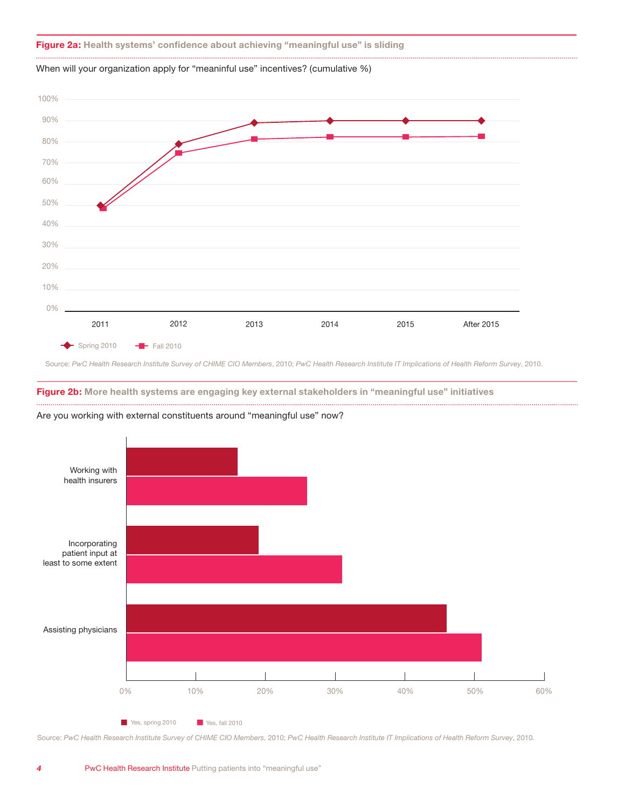#### **Figure 2a:** Health systems' confidence about achieving "meaningful use" is sliding

When will your organization apply for "meaninful use" incentives? (cumulative %)



**meaningful use incentives? (cumulative %)**

Source: *PwC Health Research Institute Survey of CHIME CIO Members*, 2010; *PwC Health Research Institute IT Implications of Health Reform Survey*, 2010.

**Figure 2b: More health systems are engaging key external stakeholders in "meaningful use" initiatives**





Source: *PwC Health Research Institute Survey of CHIME CIO Members*, 2010; *PwC Health Research Institute IT Implications of Health Reform Survey*, 2010.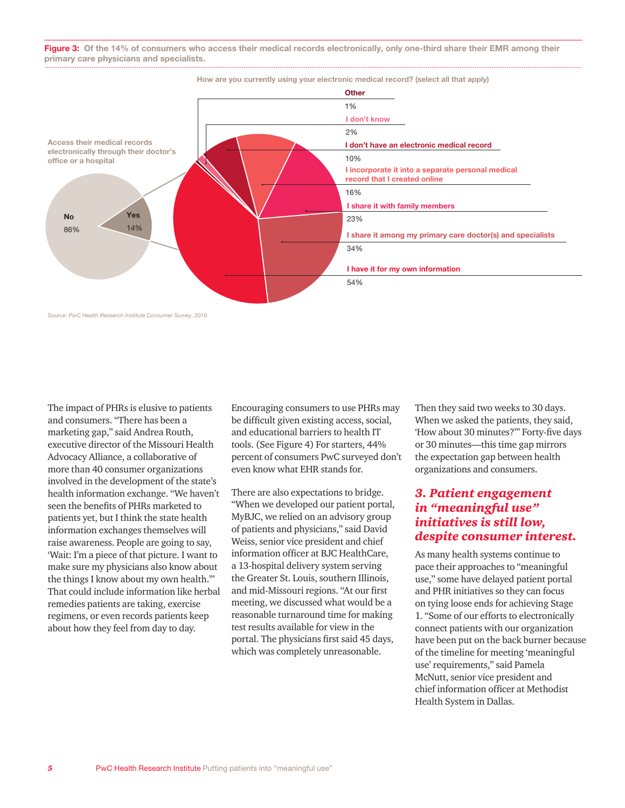**Figure 3:** Of the 14% of consumers who access their medical records electronically, only one-third share their EMR among their **primary care physicians and specialists.**



Source: *PwC Health Research Institute Consumer Survey*, 2010

The impact of PHRs is elusive to patients and consumers. "There has been a marketing gap," said Andrea Routh, executive director of the Missouri Health Advocacy Alliance, a collaborative of more than 40 consumer organizations involved in the development of the state's health information exchange. "We haven't seen the benefits of PHRs marketed to patients yet, but I think the state health information exchanges themselves will raise awareness. People are going to say, 'Wait: I'm a piece of that picture. I want to make sure my physicians also know about the things I know about my own health.'" That could include information like herbal remedies patients are taking, exercise regimens, or even records patients keep about how they feel from day to day.

Encouraging consumers to use PHRs may be difficult given existing access, social, and educational barriers to health IT tools. (See Figure 4) For starters, 44% percent of consumers PwC surveyed don't even know what EHR stands for.

There are also expectations to bridge. "When we developed our patient portal, MyBJC, we relied on an advisory group of patients and physicians," said David Weiss, senior vice president and chief information officer at BJC HealthCare, a 13-hospital delivery system serving the Greater St. Louis, southern Illinois, and mid-Missouri regions. "At our first meeting, we discussed what would be a reasonable turnaround time for making test results available for view in the portal. The physicians first said 45 days, which was completely unreasonable.

Then they said two weeks to 30 days. When we asked the patients, they said, 'How about 30 minutes?'" Forty-five days or 30 minutes—this time gap mirrors the expectation gap between health organizations and consumers.

#### *3. Patient engagement in "meaningful use" initiatives is still low, despite consumer interest.*

As many health systems continue to pace their approaches to "meaningful use," some have delayed patient portal and PHR initiatives so they can focus on tying loose ends for achieving Stage 1. "Some of our efforts to electronically connect patients with our organization have been put on the back burner because of the timeline for meeting 'meaningful use' requirements," said Pamela McNutt, senior vice president and chief information officer at Methodist Health System in Dallas.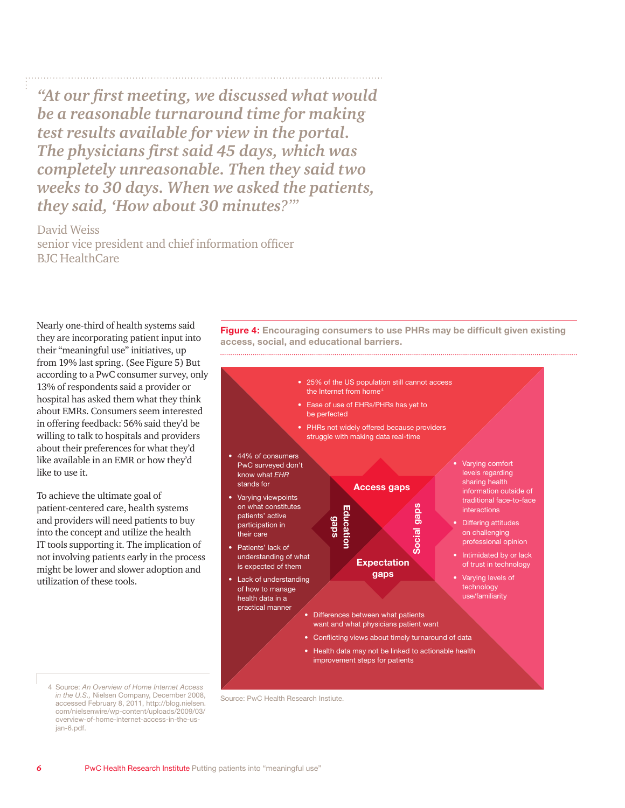*"At our first meeting, we discussed what would be a reasonable turnaround time for making test results available for view in the portal. The physicians first said 45 days, which was completely unreasonable. Then they said two weeks to 30 days. When we asked the patients, they said, 'How about 30 minutes?'"*

David Weiss senior vice president and chief information officer BJC HealthCare

Nearly one-third of health systems said they are incorporating patient input into their "meaningful use" initiatives, up from 19% last spring. (See Figure 5) But according to a PwC consumer survey, only 13% of respondents said a provider or hospital has asked them what they think about EMRs. Consumers seem interested in offering feedback: 56% said they'd be willing to talk to hospitals and providers about their preferences for what they'd like available in an EMR or how they'd like to use it.

To achieve the ultimate goal of patient-centered care, health systems and providers will need patients to buy into the concept and utilize the health IT tools supporting it. The implication of not involving patients early in the process might be lower and slower adoption and utilization of these tools.

**Figure 4: Encouraging consumers to use PHRs may be difficult given existing access, social, and educational barriers.** 



4 Source: *An Overview of Home Internet Access in the U.S.,* Nielsen Company, December 2008, accessed February 8, 2011, http://blog.nielsen. com/nielsenwire/wp-content/uploads/2009/03/ overview-of-home-internet-access-in-the-usjan-6.pdf.

Source: PwC Health Research Instiute.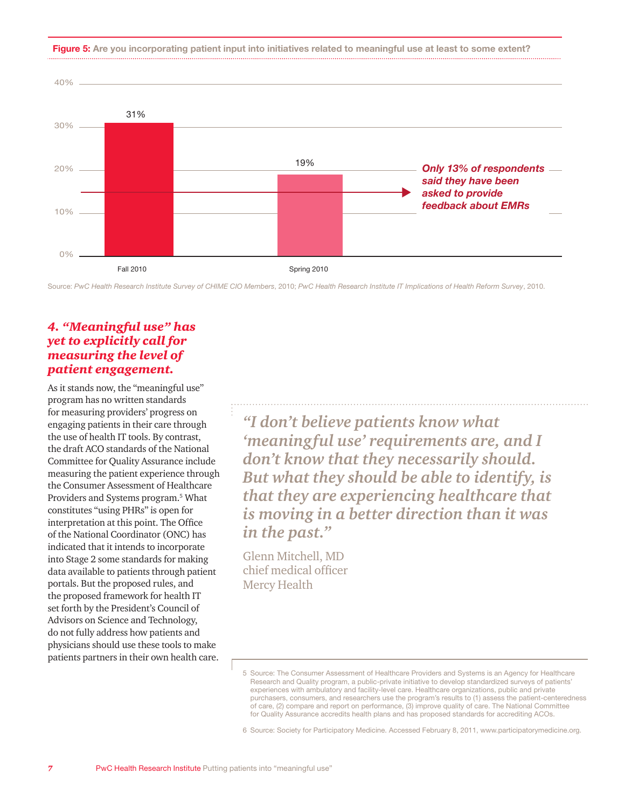**Figure 5: Are you incorporating patient input into initiatives related to meaningful use at least to some extent?**



Source: *PwC Health Research Institute Survey of CHIME CIO Members*, 2010; *PwC Health Research Institute IT Implications of Health Reform Survey*, 2010.

#### *4. "Meaningful use" has yet to explicitly call for measuring the level of patient engagement.*

As it stands now, the "meaningful use" program has no written standards for measuring providers' progress on engaging patients in their care through the use of health IT tools. By contrast, the draft ACO standards of the National Committee for Quality Assurance include measuring the patient experience through the Consumer Assessment of Healthcare Providers and Systems program.<sup>5</sup> What constitutes "using PHRs" is open for interpretation at this point. The Office of the National Coordinator (ONC) has indicated that it intends to incorporate into Stage 2 some standards for making data available to patients through patient portals. But the proposed rules, and the proposed framework for health IT set forth by the President's Council of Advisors on Science and Technology, do not fully address how patients and physicians should use these tools to make patients partners in their own health care.

*"I don't believe patients know what 'meaningful use' requirements are, and I don't know that they necessarily should. But what they should be able to identify, is that they are experiencing healthcare that is moving in a better direction than it was in the past."*

Glenn Mitchell, MD chief medical officer Mercy Health

<sup>5</sup> Source: The Consumer Assessment of Healthcare Providers and Systems is an Agency for Healthcare Research and Quality program, a public-private initiative to develop standardized surveys of patients' experiences with ambulatory and facility-level care. Healthcare organizations, public and private purchasers, consumers, and researchers use the program's results to (1) assess the patient-centeredness of care, (2) compare and report on performance, (3) improve quality of care. The National Committee for Quality Assurance accredits health plans and has proposed standards for accrediting ACOs.

<sup>6</sup> Source: Society for Participatory Medicine. Accessed February 8, 2011, www.participatorymedicine.org.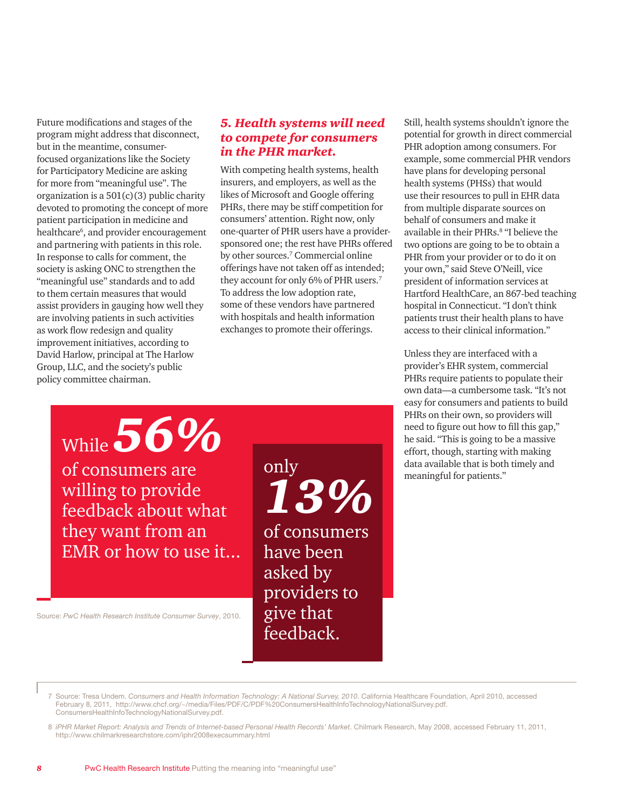Future modifications and stages of the program might address that disconnect, but in the meantime, consumerfocused organizations like the Society for Participatory Medicine are asking for more from "meaningful use". The organization is a  $501(c)(3)$  public charity devoted to promoting the concept of more patient participation in medicine and healthcare<sup>6</sup>, and provider encouragement and partnering with patients in this role. In response to calls for comment, the society is asking ONC to strengthen the "meaningful use" standards and to add to them certain measures that would assist providers in gauging how well they are involving patients in such activities as work flow redesign and quality improvement initiatives, according to David Harlow, principal at The Harlow Group, LLC, and the society's public policy committee chairman.

#### *5. Health systems will need to compete for consumers in the PHR market.*

With competing health systems, health insurers, and employers, as well as the likes of Microsoft and Google offering PHRs, there may be stiff competition for consumers' attention. Right now, only one-quarter of PHR users have a providersponsored one; the rest have PHRs offered by other sources.7 Commercial online offerings have not taken off as intended; they account for only 6% of PHR users.7 To address the low adoption rate, some of these vendors have partnered with hospitals and health information exchanges to promote their offerings.

Still, health systems shouldn't ignore the potential for growth in direct commercial PHR adoption among consumers. For example, some commercial PHR vendors have plans for developing personal health systems (PHSs) that would use their resources to pull in EHR data from multiple disparate sources on behalf of consumers and make it available in their PHRs.<sup>8</sup> "I believe the two options are going to be to obtain a PHR from your provider or to do it on your own," said Steve O'Neill, vice president of information services at Hartford HealthCare, an 867-bed teaching hospital in Connecticut. "I don't think patients trust their health plans to have access to their clinical information."

Unless they are interfaced with a provider's EHR system, commercial PHRs require patients to populate their own data—a cumbersome task. "It's not easy for consumers and patients to build PHRs on their own, so providers will need to figure out how to fill this gap," he said. "This is going to be a massive effort, though, starting with making data available that is both timely and meaningful for patients."

While *56%*

of consumers are willing to provide feedback about what they want from an EMR or how to use it...

Source: *PwC Health Research Institute Consumer Survey*, 2010.

only *13%* of consumers have been asked by providers to give that feedback.

7 Source: Tresa Undem. *Consumers and Health Information Technology: A National Survey, 2010*. California Healthcare Foundation, April 2010, accessed February 8, 2011, http://www.chcf.org/~/media/Files/PDF/C/PDF%20ConsumersHealthInfoTechnologyNationalSurvey.pdf. ConsumersHealthInfoTechnologyNationalSurvey.pdf.

8 *iPHR Market Report: Analysis and Trends of Internet-based Personal Health Records' Market.* Chilmark Research, May 2008, accessed February 11, 2011, http://www.chilmarkresearchstore.com/iphr2008execsummary.html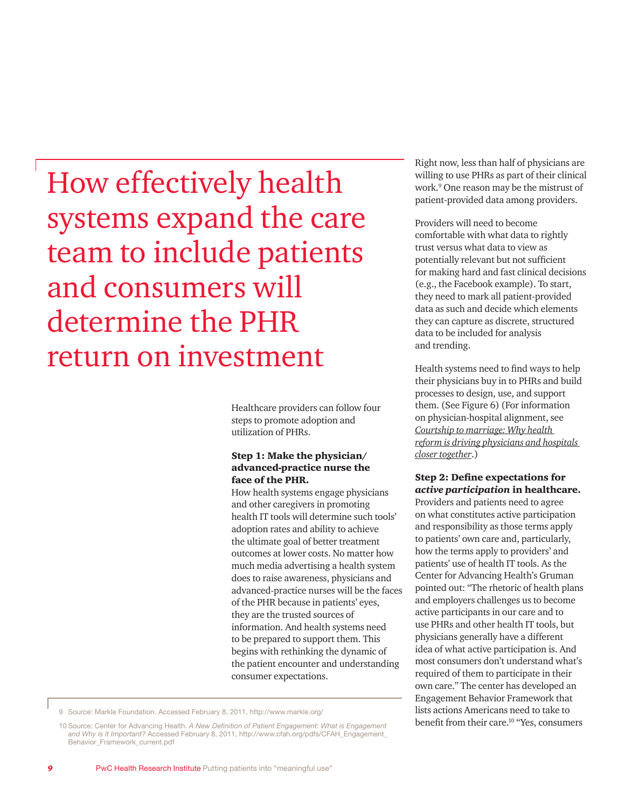How effectively health systems expand the care team to include patients and consumers will determine the PHR return on investment

> Healthcare providers can follow four steps to promote adoption and utilization of PHRs.

#### Step 1: Make the physician/ advanced-practice nurse the face of the PHR.

How health systems engage physicians and other caregivers in promoting health IT tools will determine such tools' adoption rates and ability to achieve the ultimate goal of better treatment outcomes at lower costs. No matter how much media advertising a health system does to raise awareness, physicians and advanced-practice nurses will be the faces of the PHR because in patients' eyes, they are the trusted sources of information. And health systems need to be prepared to support them. This begins with rethinking the dynamic of the patient encounter and understanding consumer expectations.

Right now, less than half of physicians are willing to use PHRs as part of their clinical work.9 One reason may be the mistrust of patient-provided data among providers.

Providers will need to become comfortable with what data to rightly trust versus what data to view as potentially relevant but not sufficient for making hard and fast clinical decisions (e.g., the Facebook example). To start, they need to mark all patient-provided data as such and decide which elements they can capture as discrete, structured data to be included for analysis and trending.

Health systems need to find ways to help their physicians buy in to PHRs and build processes to design, use, and support them. (See Figure 6) (For information on physician-hospital alignment, see *[Courtship to marriage: Why health](http://www.pwc.com/us/en/health-industries/publications/from-courtship-to-marriage.jhtml)  [reform is driving physicians and hospitals](http://www.pwc.com/us/en/health-industries/publications/from-courtship-to-marriage.jhtml)  [closer together](http://www.pwc.com/us/en/health-industries/publications/from-courtship-to-marriage.jhtml)*.)

#### Step 2: Define expectations for *active participation* in healthcare.

Providers and patients need to agree on what constitutes active participation and responsibility as those terms apply to patients' own care and, particularly, how the terms apply to providers' and patients' use of health IT tools. As the Center for Advancing Health's Gruman pointed out: "The rhetoric of health plans and employers challenges us to become active participants in our care and to use PHRs and other health IT tools, but physicians generally have a different idea of what active participation is. And most consumers don't understand what's required of them to participate in their own care." The center has developed an Engagement Behavior Framework that lists actions Americans need to take to benefit from their care.<sup>10</sup> "Yes, consumers

<sup>9</sup> Source: Markle Foundation. Accessed February 8, 2011, http://www.markle.org/

<sup>10</sup> Source: Center for Advancing Health. *A New Definition of Patient Engagement: What is Engagement and Why is it Important?* Accessed February 8, 2011, http://www.cfah.org/pdfs/CFAH\_Engagement\_ Behavior\_Framework\_current.pdf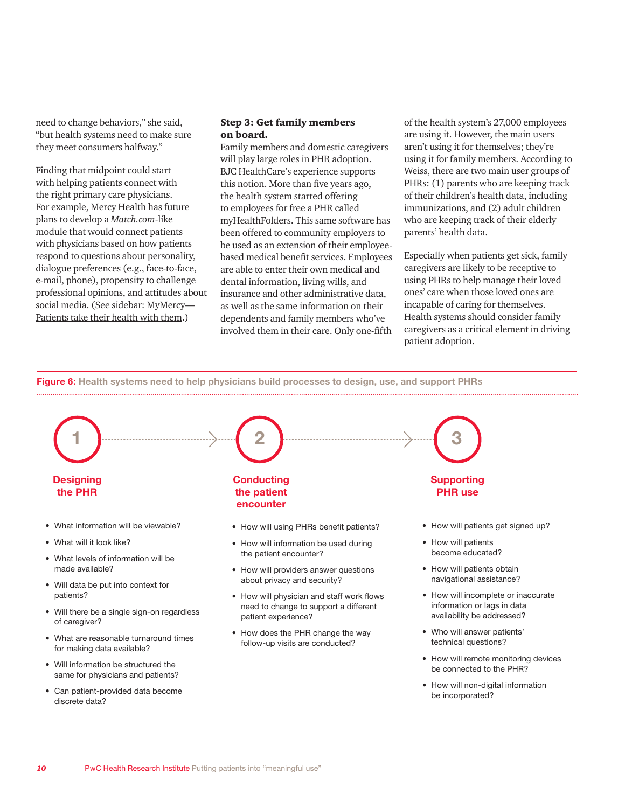need to change behaviors," she said, "but health systems need to make sure they meet consumers halfway."

Finding that midpoint could start with helping patients connect with the right primary care physicians. For example, Mercy Health has future plans to develop a *Match.com*-like module that would connect patients with physicians based on how patients respond to questions about personality, dialogue preferences (e.g., face-to-face, e-mail, phone), propensity to challenge professional opinions, and attitudes about social media. (See sidebar: [MyMercy—](#page-12-0) [Patients take their health with them.\)](#page-12-0)

#### Step 3: Get family members on board.

Family members and domestic caregivers will play large roles in PHR adoption. BJC HealthCare's experience supports this notion. More than five years ago, the health system started offering to employees for free a PHR called myHealthFolders. This same software has been offered to community employers to be used as an extension of their employeebased medical benefit services. Employees are able to enter their own medical and dental information, living wills, and insurance and other administrative data, as well as the same information on their dependents and family members who've involved them in their care. Only one-fifth

of the health system's 27,000 employees are using it. However, the main users aren't using it for themselves; they're using it for family members. According to Weiss, there are two main user groups of PHRs: (1) parents who are keeping track of their children's health data, including immunizations, and (2) adult children who are keeping track of their elderly parents' health data.

Especially when patients get sick, family caregivers are likely to be receptive to using PHRs to help manage their loved ones' care when those loved ones are incapable of caring for themselves. Health systems should consider family caregivers as a critical element in driving patient adoption.

**Figure 6: Health systems need to help physicians build processes to design, use, and support PHRs** 



• How will non-digital information be incorporated?

• Can patient-provided data become

discrete data?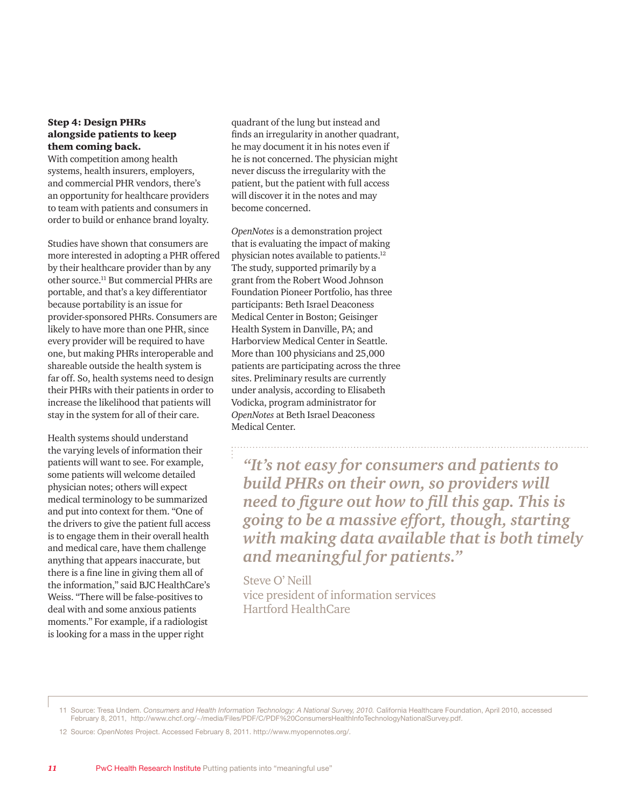#### Step 4: Design PHRs alongside patients to keep them coming back.

With competition among health systems, health insurers, employers, and commercial PHR vendors, there's an opportunity for healthcare providers to team with patients and consumers in order to build or enhance brand loyalty.

Studies have shown that consumers are more interested in adopting a PHR offered by their healthcare provider than by any other source.11 But commercial PHRs are portable, and that's a key differentiator because portability is an issue for provider-sponsored PHRs. Consumers are likely to have more than one PHR, since every provider will be required to have one, but making PHRs interoperable and shareable outside the health system is far off. So, health systems need to design their PHRs with their patients in order to increase the likelihood that patients will stay in the system for all of their care.

Health systems should understand the varying levels of information their patients will want to see. For example, some patients will welcome detailed physician notes; others will expect medical terminology to be summarized and put into context for them. "One of the drivers to give the patient full access is to engage them in their overall health and medical care, have them challenge anything that appears inaccurate, but there is a fine line in giving them all of the information," said BJC HealthCare's Weiss. "There will be false-positives to deal with and some anxious patients moments." For example, if a radiologist is looking for a mass in the upper right

quadrant of the lung but instead and finds an irregularity in another quadrant, he may document it in his notes even if he is not concerned. The physician might never discuss the irregularity with the patient, but the patient with full access will discover it in the notes and may become concerned.

*OpenNotes* is a demonstration project that is evaluating the impact of making physician notes available to patients.12 The study, supported primarily by a grant from the Robert Wood Johnson Foundation Pioneer Portfolio, has three participants: Beth Israel Deaconess Medical Center in Boston; Geisinger Health System in Danville, PA; and Harborview Medical Center in Seattle. More than 100 physicians and 25,000 patients are participating across the three sites. Preliminary results are currently under analysis, according to Elisabeth Vodicka, program administrator for *OpenNotes* at Beth Israel Deaconess Medical Center.

*"It's not easy for consumers and patients to build PHRs on their own, so providers will need to figure out how to fill this gap. This is going to be a massive effort, though, starting with making data available that is both timely and meaningful for patients."*

Steve O' Neill vice president of information services Hartford HealthCare

<sup>11</sup> Source: Tresa Undem. *Consumers and Health Information Technology: A National Survey, 2010.* California Healthcare Foundation, April 2010, accessed February 8, 2011, http://www.chcf.org/~/media/Files/PDF/C/PDF%20ConsumersHealthInfoTechnologyNationalSurvey.pdf.

<sup>12</sup> Source: *OpenNotes* Project. Accessed February 8, 2011. http://www.myopennotes.org/.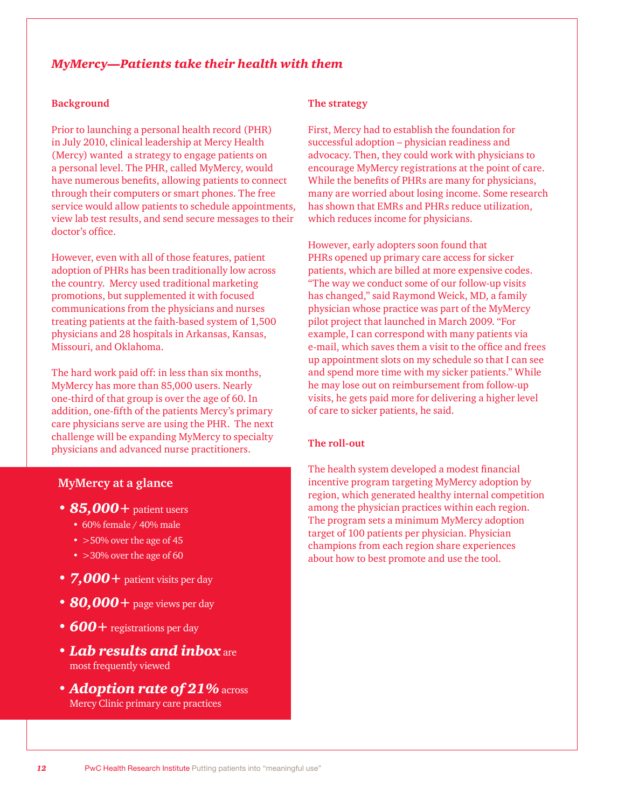#### <span id="page-12-0"></span>*MyMercy—Patients take their health with them*

#### **Background**

Prior to launching a personal health record (PHR) in July 2010, clinical leadership at Mercy Health (Mercy) wanted a strategy to engage patients on a personal level. The PHR, called MyMercy, would have numerous benefits, allowing patients to connect through their computers or smart phones. The free service would allow patients to schedule appointments, view lab test results, and send secure messages to their doctor's office.

However, even with all of those features, patient adoption of PHRs has been traditionally low across the country. Mercy used traditional marketing promotions, but supplemented it with focused communications from the physicians and nurses treating patients at the faith-based system of 1,500 physicians and 28 hospitals in Arkansas, Kansas, Missouri, and Oklahoma.

The hard work paid off: in less than six months, MyMercy has more than 85,000 users. Nearly one-third of that group is over the age of 60. In addition, one-fifth of the patients Mercy's primary care physicians serve are using the PHR. The next challenge will be expanding MyMercy to specialty physicians and advanced nurse practitioners.

#### **MyMercy at a glance**

- *• 85,000+* patient users
	- 60% female / 40% male
	- > 50% over the age of 45
	- > 30% over the age of 60
- *• 7,000+* patient visits per day
- *• 80,000+* page views per day
- *• 600+* registrations per day
- *• Lab results and inbox* are most frequently viewed
- *• Adoption rate of 21%* across Mercy Clinic primary care practices

#### **The strategy**

First, Mercy had to establish the foundation for successful adoption – physician readiness and advocacy. Then, they could work with physicians to encourage MyMercy registrations at the point of care. While the benefits of PHRs are many for physicians, many are worried about losing income. Some research has shown that EMRs and PHRs reduce utilization, which reduces income for physicians.

However, early adopters soon found that PHRs opened up primary care access for sicker patients, which are billed at more expensive codes. "The way we conduct some of our follow-up visits has changed," said Raymond Weick, MD, a family physician whose practice was part of the MyMercy pilot project that launched in March 2009. "For example, I can correspond with many patients via e-mail, which saves them a visit to the office and frees up appointment slots on my schedule so that I can see and spend more time with my sicker patients." While he may lose out on reimbursement from follow-up visits, he gets paid more for delivering a higher level of care to sicker patients, he said.

#### **The roll-out**

The health system developed a modest financial incentive program targeting MyMercy adoption by region, which generated healthy internal competition among the physician practices within each region. The program sets a minimum MyMercy adoption target of 100 patients per physician. Physician champions from each region share experiences about how to best promote and use the tool.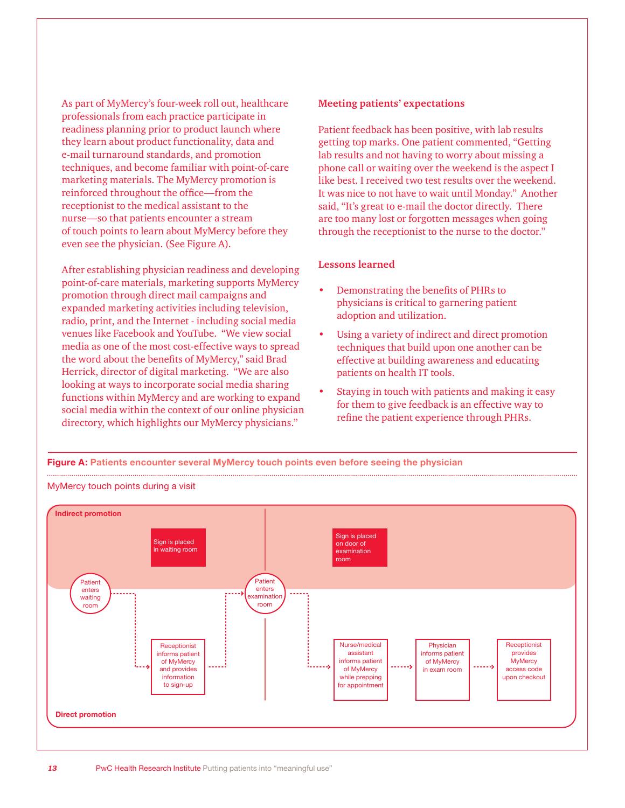As part of MyMercy's four-week roll out, healthcare professionals from each practice participate in readiness planning prior to product launch where they learn about product functionality, data and e-mail turnaround standards, and promotion techniques, and become familiar with point-of-care marketing materials. The MyMercy promotion is reinforced throughout the office—from the receptionist to the medical assistant to the nurse—so that patients encounter a stream of touch points to learn about MyMercy before they even see the physician. (See Figure A).

After establishing physician readiness and developing point-of-care materials, marketing supports MyMercy promotion through direct mail campaigns and expanded marketing activities including television, radio, print, and the Internet - including social media venues like Facebook and YouTube. "We view social media as one of the most cost-effective ways to spread the word about the benefits of MyMercy," said Brad Herrick, director of digital marketing. "We are also looking at ways to incorporate social media sharing functions within MyMercy and are working to expand social media within the context of our online physician directory, which highlights our MyMercy physicians."

#### **Meeting patients' expectations**

Patient feedback has been positive, with lab results getting top marks. One patient commented, "Getting lab results and not having to worry about missing a phone call or waiting over the weekend is the aspect I like best. I received two test results over the weekend. It was nice to not have to wait until Monday." Another said, "It's great to e-mail the doctor directly. There are too many lost or forgotten messages when going through the receptionist to the nurse to the doctor."

#### **Lessons learned**

- Demonstrating the benefits of PHRs to physicians is critical to garnering patient adoption and utilization.
- Using a variety of indirect and direct promotion techniques that build upon one another can be effective at building awareness and educating patients on health IT tools.
- Staying in touch with patients and making it easy for them to give feedback is an effective way to refine the patient experience through PHRs.

**Figure A: Patients encounter several MyMercy touch points even before seeing the physician** 



#### MyMercy touch points during a visit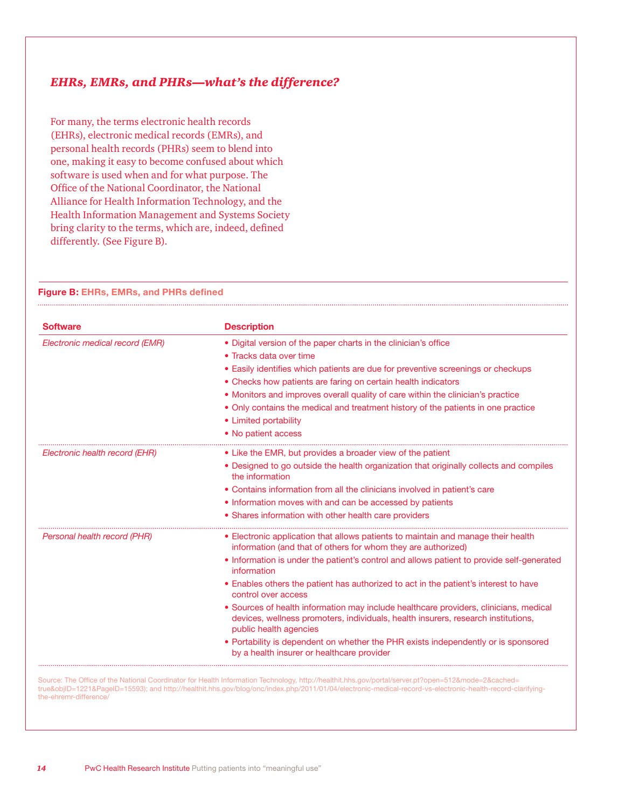#### <span id="page-14-0"></span>*EHRs, EMRs, and PHRs—what's the difference?*

For many, the terms electronic health records (EHRs), electronic medical records (EMRs), and personal health records (PHRs) seem to blend into one, making it easy to become confused about which software is used when and for what purpose. The Office of the National Coordinator, the National Alliance for Health Information Technology, and the Health Information Management and Systems Society bring clarity to the terms, which are, indeed, defined differently. (See Figure B).

#### **Figure B: EHRs, EMRs, and PHRs defined**

| <b>Software</b>                 | <b>Description</b>                                                                                                                                                                                   |
|---------------------------------|------------------------------------------------------------------------------------------------------------------------------------------------------------------------------------------------------|
| Electronic medical record (EMR) | • Digital version of the paper charts in the clinician's office                                                                                                                                      |
|                                 | • Tracks data over time                                                                                                                                                                              |
|                                 | • Easily identifies which patients are due for preventive screenings or checkups                                                                                                                     |
|                                 | • Checks how patients are faring on certain health indicators                                                                                                                                        |
|                                 | • Monitors and improves overall quality of care within the clinician's practice                                                                                                                      |
|                                 | • Only contains the medical and treatment history of the patients in one practice                                                                                                                    |
|                                 | • Limited portability                                                                                                                                                                                |
|                                 | • No patient access                                                                                                                                                                                  |
| Electronic health record (EHR)  | • Like the EMR, but provides a broader view of the patient                                                                                                                                           |
|                                 | • Designed to go outside the health organization that originally collects and compiles<br>the information                                                                                            |
|                                 | • Contains information from all the clinicians involved in patient's care                                                                                                                            |
|                                 | • Information moves with and can be accessed by patients                                                                                                                                             |
|                                 | • Shares information with other health care providers                                                                                                                                                |
| Personal health record (PHR)    | • Electronic application that allows patients to maintain and manage their health<br>information (and that of others for whom they are authorized)                                                   |
|                                 | • Information is under the patient's control and allows patient to provide self-generated<br>information                                                                                             |
|                                 | • Enables others the patient has authorized to act in the patient's interest to have<br>control over access                                                                                          |
|                                 | • Sources of health information may include healthcare providers, clinicians, medical<br>devices, wellness promoters, individuals, health insurers, research institutions,<br>public health agencies |
|                                 | • Portability is dependent on whether the PHR exists independently or is sponsored<br>by a health insurer or healthcare provider                                                                     |

Source: The Office of the National Coordinator for Health Information Technology, http://healthit.hhs.gov/portal/server.pt?open=512&mode=2&cached= true&objID=1221&PageID=15593); and http://healthit.hhs.gov/blog/onc/index.php/2011/01/04/electronic-medical-record-vs-electronic-health-record-clarifyingthe-ehremr-difference/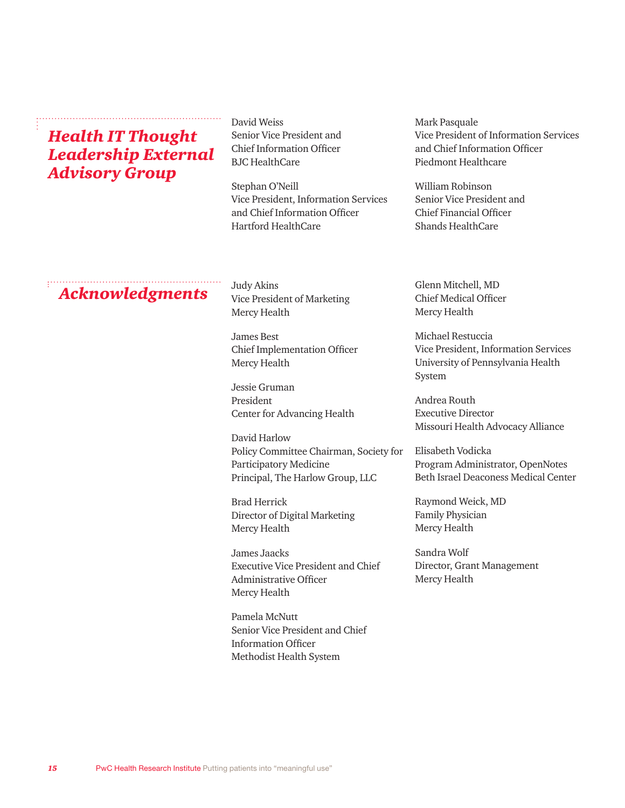*Health IT Thought Leadership External Advisory Group*

David Weiss Senior Vice President and Chief Information Officer BJC HealthCare

Stephan O'Neill Vice President, Information Services and Chief Information Officer Hartford HealthCare

Mark Pasquale Vice President of Information Services and Chief Information Officer Piedmont Healthcare

William Robinson Senior Vice President and Chief Financial Officer Shands HealthCare

# *Acknowledgments* Judy Akins Glenn Mitchell, MD<br>*Acknowledgments* Vice President of Marketing Chief Medical Office

Judy Akins Vice President of Marketing Mercy Health

James Best Chief Implementation Officer Mercy Health

Jessie Gruman President Center for Advancing Health

David Harlow Policy Committee Chairman, Society for Participatory Medicine Principal, The Harlow Group, LLC

Brad Herrick Director of Digital Marketing Mercy Health

James Jaacks Executive Vice President and Chief Administrative Officer Mercy Health

Pamela McNutt Senior Vice President and Chief Information Officer Methodist Health System

Chief Medical Officer Mercy Health

Michael Restuccia Vice President, Information Services University of Pennsylvania Health System

Andrea Routh Executive Director Missouri Health Advocacy Alliance

Elisabeth Vodicka Program Administrator, OpenNotes Beth Israel Deaconess Medical Center

Raymond Weick, MD Family Physician Mercy Health

Sandra Wolf Director, Grant Management Mercy Health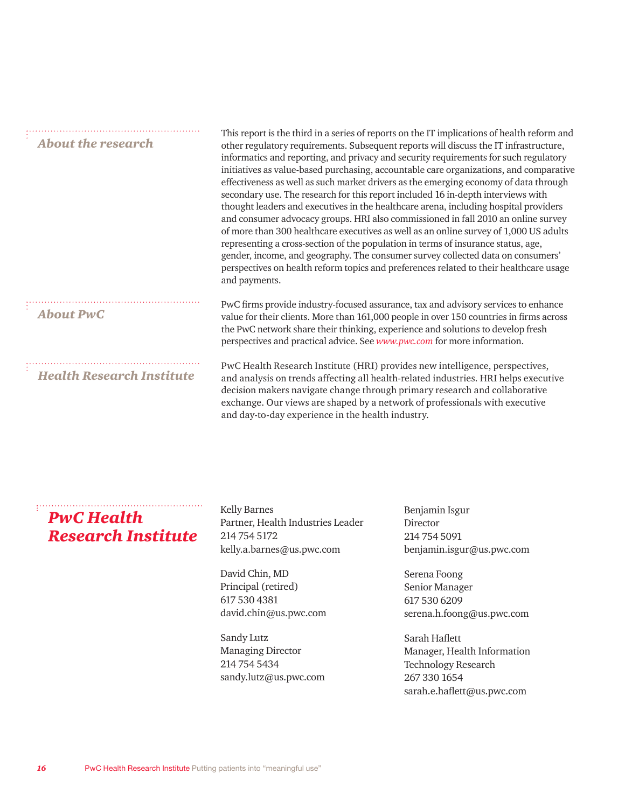| <b>About the research</b>        | This report is the third in a series of reports on the IT implications of health reform and<br>other regulatory requirements. Subsequent reports will discuss the IT infrastructure,<br>informatics and reporting, and privacy and security requirements for such regulatory<br>initiatives as value-based purchasing, accountable care organizations, and comparative<br>effectiveness as well as such market drivers as the emerging economy of data through<br>secondary use. The research for this report included 16 in-depth interviews with<br>thought leaders and executives in the healthcare arena, including hospital providers<br>and consumer advocacy groups. HRI also commissioned in fall 2010 an online survey<br>of more than 300 healthcare executives as well as an online survey of 1,000 US adults<br>representing a cross-section of the population in terms of insurance status, age,<br>gender, income, and geography. The consumer survey collected data on consumers'<br>perspectives on health reform topics and preferences related to their healthcare usage<br>and payments. |
|----------------------------------|-------------------------------------------------------------------------------------------------------------------------------------------------------------------------------------------------------------------------------------------------------------------------------------------------------------------------------------------------------------------------------------------------------------------------------------------------------------------------------------------------------------------------------------------------------------------------------------------------------------------------------------------------------------------------------------------------------------------------------------------------------------------------------------------------------------------------------------------------------------------------------------------------------------------------------------------------------------------------------------------------------------------------------------------------------------------------------------------------------------|
| <b>About PwC</b>                 | PwC firms provide industry-focused assurance, tax and advisory services to enhance<br>value for their clients. More than 161,000 people in over 150 countries in firms across<br>the PwC network share their thinking, experience and solutions to develop fresh<br>perspectives and practical advice. See www.pwc.com for more information.                                                                                                                                                                                                                                                                                                                                                                                                                                                                                                                                                                                                                                                                                                                                                                |
| <b>Health Research Institute</b> | PwC Health Research Institute (HRI) provides new intelligence, perspectives,<br>and analysis on trends affecting all health-related industries. HRI helps executive<br>decision makers navigate change through primary research and collaborative<br>exchange. Our views are shaped by a network of professionals with executive<br>and day-to-day experience in the health industry.                                                                                                                                                                                                                                                                                                                                                                                                                                                                                                                                                                                                                                                                                                                       |

### *PwC Health Research Institute*

Kelly Barnes Partner, Health Industries Leader 214 754 5172 kelly.a.barnes@us.pwc.com

David Chin, MD Principal (retired) 617 530 4381 david.chin@us.pwc.com

Sandy Lutz Managing Director 214 754 5434 sandy.lutz@us.pwc.com Benjamin Isgur Director 214 754 5091 benjamin.isgur@us.pwc.com

Serena Foong Senior Manager 617 530 6209 serena.h.foong@us.pwc.com

Sarah Haflett Manager, Health Information Technology Research 267 330 1654 sarah.e.haflett@us.pwc.com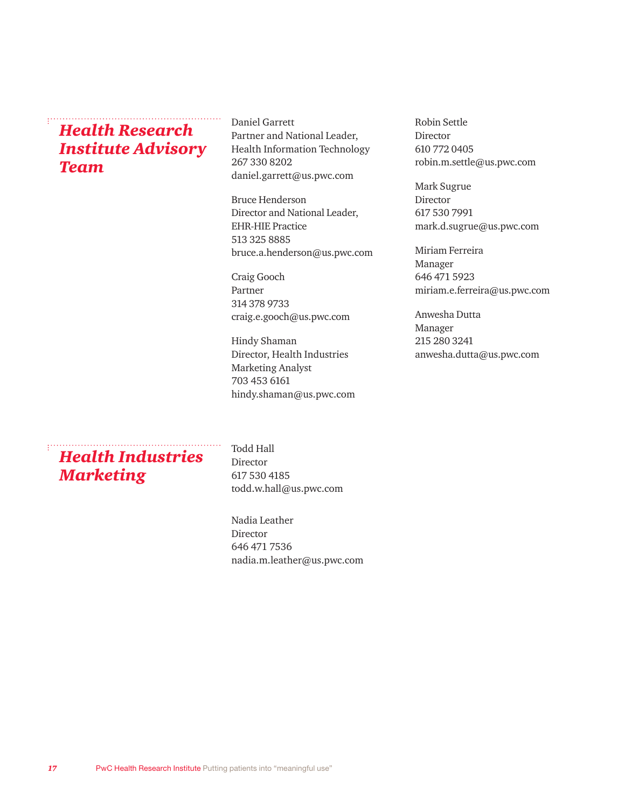## *Health Research Institute Advisory Team*

Daniel Garrett Partner and National Leader, Health Information Technology 267 330 8202 daniel.garrett@us.pwc.com

Bruce Henderson Director and National Leader, EHR-HIE Practice 513 325 8885 bruce.a.henderson@us.pwc.com

Craig Gooch Partner 314 378 9733 craig.e.gooch@us.pwc.com

Hindy Shaman Director, Health Industries Marketing Analyst 703 453 6161 hindy.shaman@us.pwc.com Robin Settle Director 610 772 0405 robin.m.settle@us.pwc.com

Mark Sugrue Director 617 530 7991 mark.d.sugrue@us.pwc.com

Miriam Ferreira Manager 646 471 5923 miriam.e.ferreira@us.pwc.com

Anwesha Dutta Manager 215 280 3241 anwesha.dutta@us.pwc.com

## *Health Industries Marketing*

Todd Hall Director 617 530 4185 todd.w.hall@us.pwc.com

Nadia Leather Director 646 471 7536 nadia.m.leather@us.pwc.com